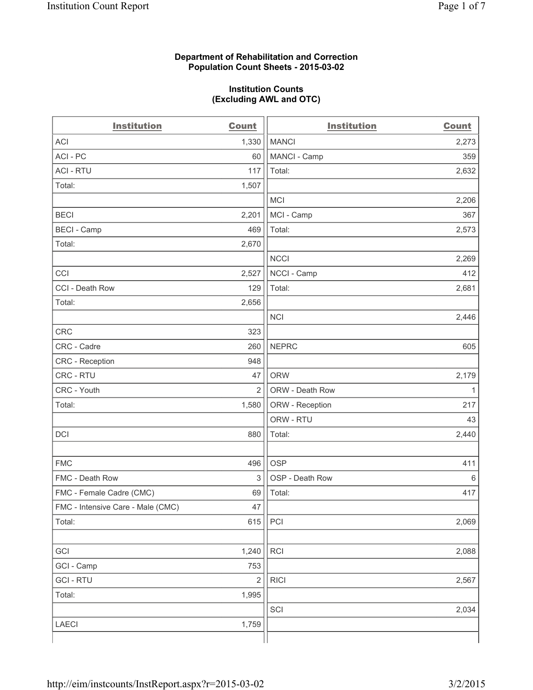# **Department of Rehabilitation and Correction Population Count Sheets - 2015-03-02**

# **Institution Counts (Excluding AWL and OTC)**

| <b>Institution</b>                | <b>Count</b>   | <b>Institution</b> | <b>Count</b> |
|-----------------------------------|----------------|--------------------|--------------|
| <b>ACI</b>                        | 1,330          | <b>MANCI</b>       | 2,273        |
| ACI-PC                            | 60             | MANCI - Camp       | 359          |
| <b>ACI - RTU</b>                  | 117            | Total:             | 2,632        |
| Total:                            | 1,507          |                    |              |
|                                   |                | <b>MCI</b>         | 2,206        |
| <b>BECI</b>                       | 2,201          | MCI - Camp         | 367          |
| <b>BECI - Camp</b>                | 469            | Total:             | 2,573        |
| Total:                            | 2,670          |                    |              |
|                                   |                | <b>NCCI</b>        | 2,269        |
| CCI                               | 2,527          | NCCI - Camp        | 412          |
| CCI - Death Row                   | 129            | Total:             | 2,681        |
| Total:                            | 2,656          |                    |              |
|                                   |                | <b>NCI</b>         | 2,446        |
| <b>CRC</b>                        | 323            |                    |              |
| CRC - Cadre                       | 260            | <b>NEPRC</b>       | 605          |
| CRC - Reception                   | 948            |                    |              |
| CRC - RTU                         | 47             | <b>ORW</b>         | 2,179        |
| CRC - Youth                       | $\overline{2}$ | ORW - Death Row    | $\mathbf{1}$ |
| Total:                            | 1,580          | ORW - Reception    | 217          |
|                                   |                | ORW - RTU          | 43           |
| DCI                               | 880            | Total:             | 2,440        |
|                                   |                |                    |              |
| <b>FMC</b>                        | 496            | <b>OSP</b>         | 411          |
| FMC - Death Row                   | 3              | OSP - Death Row    | 6            |
| FMC - Female Cadre (CMC)          | 69             | Total:             | 417          |
| FMC - Intensive Care - Male (CMC) | 47             |                    |              |
| Total:                            | 615            | PCI                | 2,069        |
|                                   |                |                    |              |
| GCI                               | 1,240          | RCI                | 2,088        |
| GCI - Camp                        | 753            |                    |              |
| <b>GCI-RTU</b>                    | $\overline{2}$ | <b>RICI</b>        | 2,567        |
| Total:                            | 1,995          |                    |              |
|                                   |                | SCI                | 2,034        |
| LAECI                             | 1,759          |                    |              |
|                                   |                |                    |              |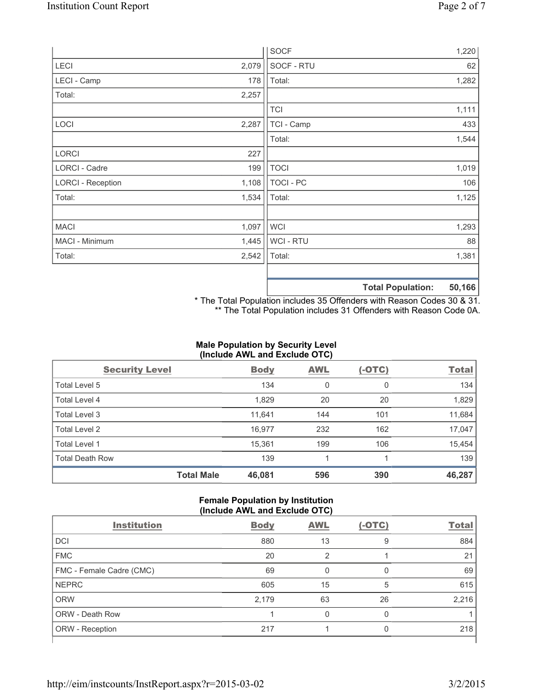|                          |       | <b>SOCF</b>      | 1,220                       |
|--------------------------|-------|------------------|-----------------------------|
| LECI                     | 2,079 | SOCF - RTU       | 62                          |
| LECI - Camp              | 178   | Total:           | 1,282                       |
| Total:                   | 2,257 |                  |                             |
|                          |       | <b>TCI</b>       | 1,111                       |
| LOCI                     | 2,287 | TCI - Camp       | 433                         |
|                          |       | Total:           | 1,544                       |
| <b>LORCI</b>             | 227   |                  |                             |
| LORCI - Cadre            | 199   | <b>TOCI</b>      | 1,019                       |
| <b>LORCI - Reception</b> | 1,108 | <b>TOCI - PC</b> | 106                         |
| Total:                   | 1,534 | Total:           | 1,125                       |
|                          |       |                  |                             |
| <b>MACI</b>              | 1,097 | <b>WCI</b>       | 1,293                       |
| MACI - Minimum           | 1,445 | WCI - RTU        | 88                          |
| Total:                   | 2,542 | Total:           | 1,381                       |
|                          |       |                  |                             |
|                          |       |                  | EN ACC<br>Total Dopulation: |

**Total Population: 50,166**

\* The Total Population includes 35 Offenders with Reason Codes 30 & 31. \*\* The Total Population includes 31 Offenders with Reason Code 0A.

# **Male Population by Security Level (Include AWL and Exclude OTC)**

| <b>Security Level</b>  |                   | <b>Body</b> | <b>AWL</b> | $(-OTC)$ | <b>Total</b> |
|------------------------|-------------------|-------------|------------|----------|--------------|
| Total Level 5          |                   | 134         | 0          | 0        | 134          |
| <b>Total Level 4</b>   |                   | 1,829       | 20         | 20       | 1,829        |
| Total Level 3          |                   | 11,641      | 144        | 101      | 11,684       |
| Total Level 2          |                   | 16,977      | 232        | 162      | 17,047       |
| <b>Total Level 1</b>   |                   | 15,361      | 199        | 106      | 15,454       |
| <b>Total Death Row</b> |                   | 139         |            |          | 139          |
|                        | <b>Total Male</b> | 46,081      | 596        | 390      | 46,287       |

# **Female Population by Institution (Include AWL and Exclude OTC)**

| <b>Institution</b>       | <b>Body</b> | <b>AWL</b> | (-OTC) | <b>Total</b> |
|--------------------------|-------------|------------|--------|--------------|
| DCI                      | 880         | 13         | 9      | 884          |
| <b>FMC</b>               | 20          | 2          |        | 21           |
| FMC - Female Cadre (CMC) | 69          | O          | 0      | 69           |
| <b>NEPRC</b>             | 605         | 15         | 5      | 615          |
| <b>ORW</b>               | 2,179       | 63         | 26     | 2,216        |
| <b>ORW - Death Row</b>   |             | 0          | 0      |              |
| ORW - Reception          | 217         |            | 0      | 218          |
|                          |             |            |        |              |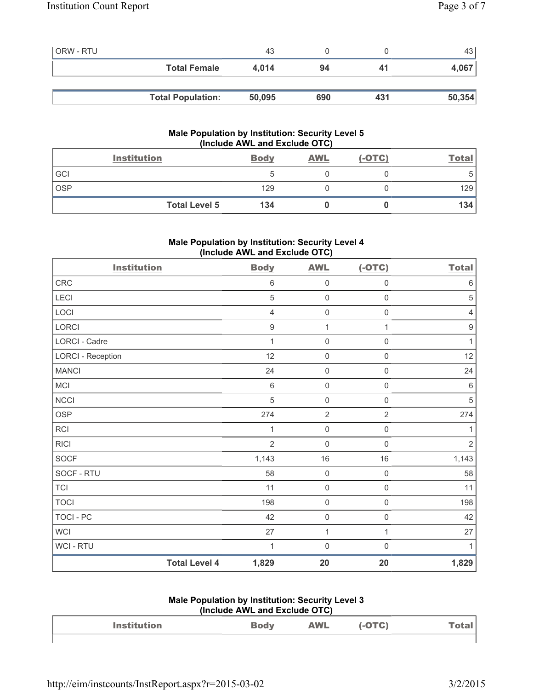| <b>ORW - RTU</b> |                          | 43     |     |     | 43 l   |
|------------------|--------------------------|--------|-----|-----|--------|
|                  | <b>Total Female</b>      | 4.014  | 94  | 41  | 4,067  |
|                  |                          |        |     |     |        |
|                  | <b>Total Population:</b> | 50,095 | 690 | 431 | 50,354 |

# **Male Population by Institution: Security Level 5 (Include AWL and Exclude OTC)**

|     | <b>Institution</b>   | <b>Body</b> | <b>AWL</b> | $(-OTC)$ | <b>Total</b> |
|-----|----------------------|-------------|------------|----------|--------------|
| GCI |                      |             |            |          | C            |
| OSP |                      | 129         |            |          | 129          |
|     | <b>Total Level 5</b> | 134         |            |          | 134          |

# **Male Population by Institution: Security Level 4 (Include AWL and Exclude OTC)**

| <b>Institution</b>       |                      | <b>Body</b>      | <b>AWL</b>          | $(-OTC)$            | <b>Total</b>     |
|--------------------------|----------------------|------------------|---------------------|---------------------|------------------|
| CRC                      |                      | $\,6\,$          | $\mathsf{O}\xspace$ | $\mathsf{O}\xspace$ | $\,6\,$          |
| LECI                     |                      | $\sqrt{5}$       | $\mathsf{O}\xspace$ | 0                   | $\sqrt{5}$       |
| LOCI                     |                      | $\overline{4}$   | $\mathbf 0$         | $\mathsf{O}\xspace$ | $\overline{4}$   |
| LORCI                    |                      | $\boldsymbol{9}$ | 1                   | $\mathbf{1}$        | $\boldsymbol{9}$ |
| LORCI - Cadre            |                      | 1                | $\mathbf 0$         | $\mathsf{O}\xspace$ | $\mathbf{1}$     |
| <b>LORCI - Reception</b> |                      | 12               | $\mathbf 0$         | 0                   | 12               |
| <b>MANCI</b>             |                      | 24               | $\mathbf 0$         | $\mathsf{O}\xspace$ | 24               |
| MCI                      |                      | $\,6\,$          | $\mathsf{O}\xspace$ | $\mathsf{O}\xspace$ | $\,6\,$          |
| <b>NCCI</b>              |                      | $\sqrt{5}$       | $\mathsf{O}\xspace$ | $\mathsf{O}\xspace$ | $\sqrt{5}$       |
| <b>OSP</b>               |                      | 274              | $\overline{2}$      | $\overline{2}$      | 274              |
| <b>RCI</b>               |                      | 1                | $\mathsf{O}\xspace$ | $\mathsf{O}\xspace$ | 1                |
| <b>RICI</b>              |                      | $\overline{2}$   | $\mathsf{O}\xspace$ | $\mathsf{O}\xspace$ | $\overline{2}$   |
| <b>SOCF</b>              |                      | 1,143            | $16$                | $16\,$              | 1,143            |
| SOCF - RTU               |                      | 58               | $\mathsf{O}\xspace$ | $\mathsf{O}\xspace$ | 58               |
| <b>TCI</b>               |                      | 11               | $\mathsf{O}\xspace$ | $\mathsf{O}\xspace$ | 11               |
| <b>TOCI</b>              |                      | 198              | $\mathsf{O}\xspace$ | $\mathsf 0$         | 198              |
| <b>TOCI - PC</b>         |                      | 42               | $\mathsf{O}\xspace$ | $\mathsf{O}\xspace$ | 42               |
| <b>WCI</b>               |                      | 27               | 1                   | 1                   | 27               |
| WCI - RTU                |                      | 1                | $\mathbf 0$         | $\mathsf{O}\xspace$ | $\mathbf{1}$     |
|                          | <b>Total Level 4</b> | 1,829            | 20                  | 20                  | 1,829            |

#### **Male Population by Institution: Security Level 3 (Include AWL and Exclude OTC)**

| $\frac{1}{2}$      |     |            |  |      |  |  |
|--------------------|-----|------------|--|------|--|--|
| <b>Institution</b> | odv | <b>AWL</b> |  | Га≑а |  |  |
|                    |     |            |  |      |  |  |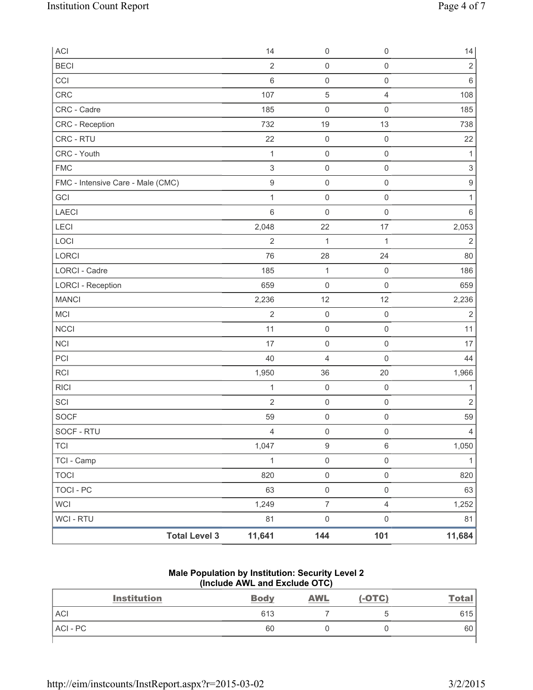| ACI                               | 14                        | $\mathsf{O}\xspace$ | $\mathsf{O}\xspace$ | 14                        |
|-----------------------------------|---------------------------|---------------------|---------------------|---------------------------|
| <b>BECI</b>                       | $\overline{2}$            | $\mathsf 0$         | $\mathsf{O}\xspace$ | $\sqrt{2}$                |
| CCI                               | $\,6\,$                   | $\mathsf 0$         | $\mathsf{O}\xspace$ | $\,6\,$                   |
| CRC                               | 107                       | $\,$ 5 $\,$         | 4                   | 108                       |
| CRC - Cadre                       | 185                       | $\mathsf{O}\xspace$ | $\mathsf{O}\xspace$ | 185                       |
| CRC - Reception                   | 732                       | 19                  | 13                  | 738                       |
| CRC - RTU                         | 22                        | $\mathsf 0$         | $\mathsf{O}\xspace$ | 22                        |
| CRC - Youth                       | $\mathbf{1}$              | $\mathsf 0$         | $\mathsf{O}\xspace$ | $\mathbf{1}$              |
| <b>FMC</b>                        | $\ensuremath{\mathsf{3}}$ | $\mathsf{O}\xspace$ | $\mathsf{O}\xspace$ | $\ensuremath{\mathsf{3}}$ |
| FMC - Intensive Care - Male (CMC) | $\boldsymbol{9}$          | $\mathsf 0$         | $\mathsf{O}\xspace$ | $\boldsymbol{9}$          |
| GCI                               | 1                         | $\mathsf{O}\xspace$ | $\mathsf{O}\xspace$ | 1                         |
| LAECI                             | $\,6\,$                   | $\mathsf{O}\xspace$ | $\mathsf{O}\xspace$ | $\,6\,$                   |
| <b>LECI</b>                       | 2,048                     | 22                  | 17                  | 2,053                     |
| LOCI                              | $\overline{2}$            | $\mathbf{1}$        | $\mathbf{1}$        | $\overline{2}$            |
| LORCI                             | 76                        | 28                  | 24                  | 80                        |
| LORCI - Cadre                     | 185                       | $\mathbf{1}$        | $\mathsf 0$         | 186                       |
| <b>LORCI - Reception</b>          | 659                       | $\mathsf{O}\xspace$ | $\mathsf{O}\xspace$ | 659                       |
| <b>MANCI</b>                      | 2,236                     | 12                  | 12                  | 2,236                     |
| MCI                               | $\overline{2}$            | $\mathsf{O}\xspace$ | $\mathsf 0$         | $\overline{2}$            |
| <b>NCCI</b>                       | 11                        | $\mathsf 0$         | $\mathsf{O}\xspace$ | 11                        |
| <b>NCI</b>                        | 17                        | $\mathsf{O}\xspace$ | $\mathsf 0$         | 17                        |
| PCI                               | 40                        | $\overline{4}$      | $\mathsf 0$         | 44                        |
| <b>RCI</b>                        | 1,950                     | 36                  | 20                  | 1,966                     |
| <b>RICI</b>                       | 1                         | $\mathsf{O}\xspace$ | $\mathsf{O}\xspace$ | 1                         |
| SCI                               | $\overline{2}$            | $\mathsf{O}\xspace$ | $\mathsf{O}\xspace$ | $\sqrt{2}$                |
| <b>SOCF</b>                       | 59                        | $\mathsf{O}\xspace$ | $\mathsf{O}\xspace$ | 59                        |
| SOCF - RTU                        | $\overline{4}$            | $\mathsf{O}\xspace$ | $\mathsf 0$         | $\overline{4}$            |
| <b>TCI</b>                        | 1,047                     | $\boldsymbol{9}$    | 6                   | 1,050                     |
| TCI - Camp                        | $\mathbf{1}$              | $\mathsf{O}\xspace$ | $\mathsf{O}\xspace$ | $\mathbf{1}$              |
| <b>TOCI</b>                       | 820                       | $\mathsf{O}\xspace$ | $\mathsf{O}\xspace$ | 820                       |
| <b>TOCI - PC</b>                  | 63                        | $\mathsf{O}\xspace$ | $\mathsf{O}\xspace$ | 63                        |
| <b>WCI</b>                        | 1,249                     | $\overline{7}$      | $\overline{4}$      | 1,252                     |
| <b>WCI - RTU</b>                  | 81                        | $\mathsf{O}\xspace$ | $\mathsf{O}\xspace$ | 81                        |
| <b>Total Level 3</b>              | 11,641                    | 144                 | 101                 | 11,684                    |

**Male Population by Institution: Security Level 2 (Include AWL and Exclude OTC)** 

| <b>Institution</b> | <b>Body</b> | <b>AWL</b> | $(-OTC)$ | <u>Total</u> |
|--------------------|-------------|------------|----------|--------------|
| <b>ACI</b>         | 613         |            |          | 615          |
| ACI-PC             | 60          |            |          | 60           |
|                    |             |            |          |              |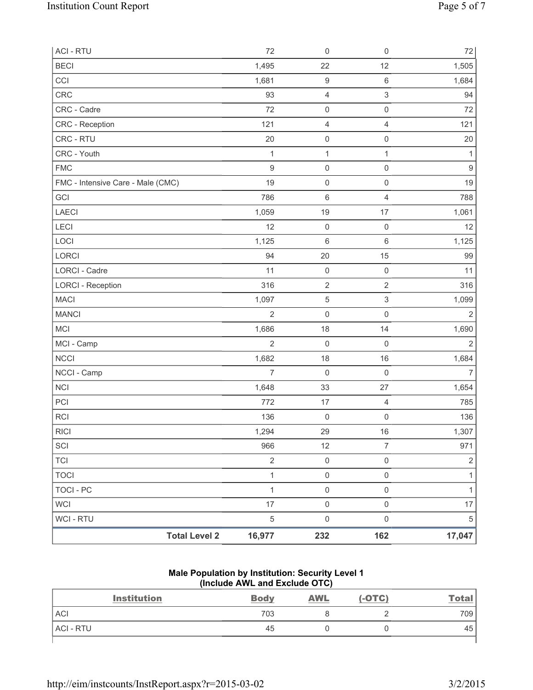| <b>Total Level 2</b>              | 16,977           | 232                 | 162                 | 17,047           |
|-----------------------------------|------------------|---------------------|---------------------|------------------|
| WCI - RTU                         | $\sqrt{5}$       | $\mathsf 0$         | $\mathsf{O}\xspace$ | $\,$ 5 $\,$      |
| <b>WCI</b>                        | 17               | $\mathsf{O}\xspace$ | $\mathsf{O}\xspace$ | 17               |
| <b>TOCI - PC</b>                  | $\mathbf{1}$     | $\mathsf 0$         | $\mathsf{O}\xspace$ | $\mathbf{1}$     |
| <b>TOCI</b>                       | $\mathbf{1}$     | $\mathsf{O}\xspace$ | $\mathsf 0$         | 1                |
| <b>TCI</b>                        | $\sqrt{2}$       | $\mathsf{O}\xspace$ | $\mathsf{O}\xspace$ | $\overline{2}$   |
| SCI                               | 966              | 12                  | $\overline{7}$      | 971              |
| <b>RICI</b>                       | 1,294            | 29                  | 16                  | 1,307            |
| <b>RCI</b>                        | 136              | $\mathsf{O}\xspace$ | $\mathsf{O}\xspace$ | 136              |
| PCI                               | 772              | 17                  | $\overline{4}$      | 785              |
| <b>NCI</b>                        | 1,648            | 33                  | 27                  | 1,654            |
| NCCI - Camp                       | $\overline{7}$   | $\mathsf{O}\xspace$ | $\mathsf{O}\xspace$ | 7                |
| <b>NCCI</b>                       | 1,682            | 18                  | 16                  | 1,684            |
| MCI - Camp                        | $\overline{2}$   | $\mathbf 0$         | $\mathsf 0$         | $\overline{2}$   |
| <b>MCI</b>                        | 1,686            | 18                  | 14                  | 1,690            |
| <b>MANCI</b>                      | $\overline{2}$   | $\mathbf 0$         | $\mathsf{O}\xspace$ | $\overline{2}$   |
| <b>MACI</b>                       | 1,097            | $\,$ 5 $\,$         | 3                   | 1,099            |
| <b>LORCI - Reception</b>          | 316              | $\sqrt{2}$          | $\overline{2}$      | 316              |
| LORCI - Cadre                     | 11               | $\mathsf{O}\xspace$ | $\mathsf 0$         | 11               |
| LORCI                             | 94               | 20                  | 15                  | 99               |
| LOCI                              | 1,125            | $\,6\,$             | 6                   | 1,125            |
| LECI                              | 12               | $\mathsf{O}\xspace$ | $\mathbf 0$         | 12               |
| <b>LAECI</b>                      | 1,059            | 19                  | 17                  | 1,061            |
| GCI                               | 786              | 6                   | $\overline{4}$      | 788              |
| FMC - Intensive Care - Male (CMC) | 19               | $\mathsf{O}\xspace$ | $\mathsf 0$         | 19               |
| <b>FMC</b>                        | $\boldsymbol{9}$ | $\mathbf 0$         | $\mathsf{O}\xspace$ | $\boldsymbol{9}$ |
| CRC - Youth                       | $\mathbf{1}$     | $\mathbf 1$         | $\mathbf{1}$        | 1                |
| CRC - RTU                         | 20               | $\mathsf{O}\xspace$ | $\mathsf{O}\xspace$ | $20\,$           |
| CRC - Reception                   | 121              | $\overline{4}$      | $\overline{4}$      | 121              |
| CRC - Cadre                       | 72               | $\mathsf{O}\xspace$ | $\mathsf{O}\xspace$ | 72               |
| <b>CRC</b>                        | 93               | $\overline{4}$      | 3                   | 94               |
| CCI                               | 1,681            | $\boldsymbol{9}$    | $\,6\,$             | 1,684            |
| <b>BECI</b>                       | 1,495            | 22                  | 12                  | 1,505            |
| <b>ACI - RTU</b>                  | 72               | $\mathsf{O}\xspace$ | $\mathsf 0$         | 72               |

#### **Male Population by Institution: Security Level 1 (Include AWL and Exclude OTC)**

| <b>Institution</b> | <b>Body</b> | <b>AWL</b> | $(-OTC)$ | <u>Total</u> |
|--------------------|-------------|------------|----------|--------------|
| <b>ACI</b>         | 703         |            |          | 709          |
| <b>ACI - RTU</b>   | 45          |            |          | 45           |
|                    |             |            |          |              |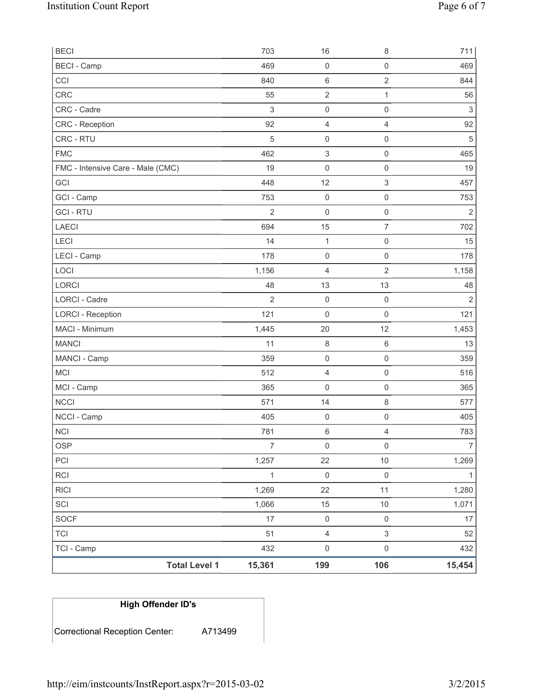| <b>BECI</b>                       |                      | 703            | 16                  | $\,8\,$             | 711              |
|-----------------------------------|----------------------|----------------|---------------------|---------------------|------------------|
| <b>BECI</b> - Camp                |                      | 469            | $\mathsf{O}\xspace$ | $\mathsf{O}\xspace$ | 469              |
| CCI                               |                      | 840            | 6                   | $\overline{2}$      | 844              |
| <b>CRC</b>                        |                      | 55             | $\overline{2}$      | $\mathbf{1}$        | 56               |
| CRC - Cadre                       |                      | $\,$ 3 $\,$    | $\mathsf 0$         | $\mathsf 0$         | $\mathfrak{Z}$   |
| <b>CRC</b> - Reception            |                      | 92             | 4                   | $\overline{4}$      | 92               |
| CRC - RTU                         |                      | 5              | 0                   | $\mathsf 0$         | $\sqrt{5}$       |
| <b>FMC</b>                        |                      | 462            | 3                   | $\mathsf{O}\xspace$ | 465              |
| FMC - Intensive Care - Male (CMC) |                      | 19             | 0                   | $\mathsf{O}\xspace$ | 19               |
| GCI                               |                      | 448            | 12                  | 3                   | 457              |
| GCI - Camp                        |                      | 753            | $\mathsf{O}\xspace$ | $\mathsf{O}\xspace$ | 753              |
| <b>GCI-RTU</b>                    |                      | $\overline{2}$ | 0                   | $\mathsf 0$         | $\overline{2}$   |
| <b>LAECI</b>                      |                      | 694            | 15                  | $\overline{7}$      | 702              |
| LECI                              |                      | 14             | 1                   | $\mathsf 0$         | 15               |
| LECI - Camp                       |                      | 178            | $\mathsf 0$         | $\mathsf{O}\xspace$ | 178              |
| LOCI                              |                      | 1,156          | 4                   | $\mathbf 2$         | 1,158            |
| <b>LORCI</b>                      |                      | 48             | 13                  | 13                  | 48               |
| LORCI - Cadre                     |                      | $\overline{2}$ | 0                   | $\mathsf 0$         | $\overline{2}$   |
| <b>LORCI - Reception</b>          |                      | 121            | 0                   | $\mathsf{O}\xspace$ | 121              |
| MACI - Minimum                    |                      | 1,445          | 20                  | 12                  | 1,453            |
| <b>MANCI</b>                      |                      | 11             | 8                   | $\,6\,$             | 13               |
| MANCI - Camp                      |                      | 359            | $\mathsf{O}\xspace$ | $\mathbf 0$         | 359              |
| <b>MCI</b>                        |                      | 512            | 4                   | $\mathsf{O}\xspace$ | 516              |
| MCI - Camp                        |                      | 365            | 0                   | $\mathbf 0$         | 365              |
| <b>NCCI</b>                       |                      | 571            | 14                  | $\,8\,$             | 577              |
| NCCI - Camp                       |                      | 405            | $\boldsymbol{0}$    | $\mathsf 0$         | 405              |
| <b>NCI</b>                        |                      | 781            | 6                   | 4                   | 783              |
| <b>OSP</b>                        |                      | $\overline{7}$ | $\mathsf 0$         | $\mathsf 0$         | $\boldsymbol{7}$ |
| PCI                               |                      | 1,257          | 22                  | $10$                | 1,269            |
| RCI                               |                      | $\mathbf 1$    | $\mathsf 0$         | $\mathsf 0$         | 1                |
| <b>RICI</b>                       |                      | 1,269          | 22                  | 11                  | 1,280            |
| SCI                               |                      | 1,066          | 15                  | $10$                | 1,071            |
| <b>SOCF</b>                       |                      | 17             | $\mathsf{O}\xspace$ | $\mathsf 0$         | 17               |
| <b>TCI</b>                        |                      | 51             | 4                   | $\mathsf 3$         | 52               |
| TCI - Camp                        |                      | 432            | $\mathsf{O}\xspace$ | $\mathsf 0$         | 432              |
|                                   | <b>Total Level 1</b> | 15,361         | 199                 | 106                 | 15,454           |

| High Offender ID's             |         |
|--------------------------------|---------|
| Correctional Reception Center: | A713499 |